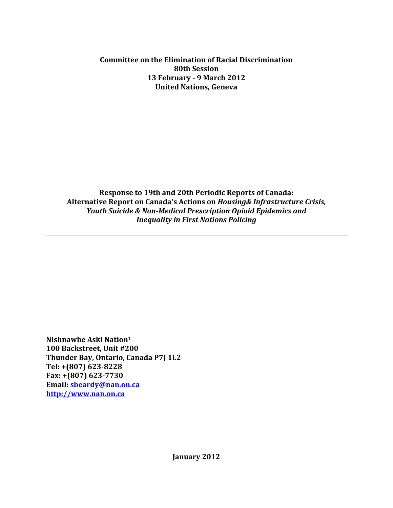#### **Committee on the Elimination of Racial Discrimination 80th Session 13 February - 9 March 2012 United Nations, Geneva**

**Response to 19th and 20th Periodic Reports of Canada: Alternative Report on Canada's Actions on** *Housing& Infrastructure Crisis, Youth Suicide & Non-Medical Prescription Opioid Epidemics and Inequality in First Nations Policing*

**Nishnawbe Aski Nation<sup>1</sup> 100 Backstreet, Unit #200 Thunder Bay, Ontario, Canada P7J 1L2 Tel: +(807) 623-8228 Fax: +(807) 623-7730 Email: [sbeardy@nan.on.ca](mailto:sbeardy@nan.on.ca) [http://www.nan.on.ca](http://www.nan.on.ca/)**

**January 2012**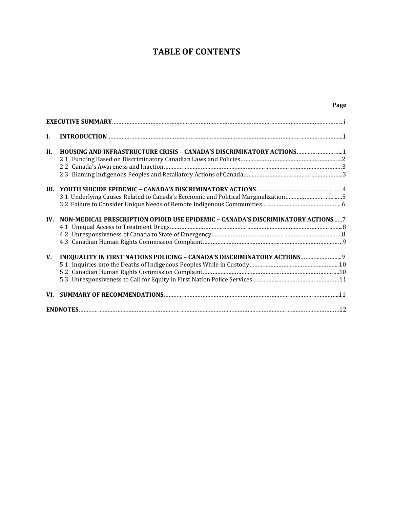# **TABLE OF CONTENTS**

**Page**

| L          |                                                                                   |  |
|------------|-----------------------------------------------------------------------------------|--|
| <b>II.</b> | HOUSING AND INFRASTRUCTURE CRISIS - CANADA'S DISCRIMINATORY ACTIONS1              |  |
| III.       | 3.1 Underlying Causes Related to Canada's Economic and Political Marginalization5 |  |
| IV.        | NON-MEDICAL PRESCRIPTION OPIOID USE EPIDEMIC - CANADA'S DISCRIMINATORY ACTIONS7   |  |
| V.         | INEQUALITY IN FIRST NATIONS POLICING - CANADA'S DISCRIMINATORY ACTIONS            |  |
|            |                                                                                   |  |
|            |                                                                                   |  |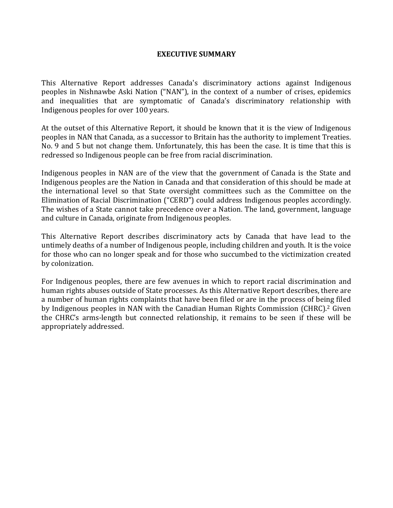#### **EXECUTIVE SUMMARY**

This Alternative Report addresses Canada's discriminatory actions against Indigenous peoples in Nishnawbe Aski Nation ("NAN"), in the context of a number of crises, epidemics and inequalities that are symptomatic of Canada's discriminatory relationship with Indigenous peoples for over 100 years.

At the outset of this Alternative Report, it should be known that it is the view of Indigenous peoples in NAN that Canada, as a successor to Britain has the authority to implement Treaties. No. 9 and 5 but not change them. Unfortunately, this has been the case. It is time that this is redressed so Indigenous people can be free from racial discrimination.

Indigenous peoples in NAN are of the view that the government of Canada is the State and Indigenous peoples are the Nation in Canada and that consideration of this should be made at the international level so that State oversight committees such as the Committee on the Elimination of Racial Discrimination ("CERD") could address Indigenous peoples accordingly. The wishes of a State cannot take precedence over a Nation. The land, government, language and culture in Canada, originate from Indigenous peoples.

This Alternative Report describes discriminatory acts by Canada that have lead to the untimely deaths of a number of Indigenous people, including children and youth. It is the voice for those who can no longer speak and for those who succumbed to the victimization created by colonization.

For Indigenous peoples, there are few avenues in which to report racial discrimination and human rights abuses outside of State processes. As this Alternative Report describes, there are a number of human rights complaints that have been filed or are in the process of being filed by Indigenous peoples in NAN with the Canadian Human Rights Commission (CHRC).<sup>2</sup> Given the CHRC's arms-length but connected relationship, it remains to be seen if these will be appropriately addressed.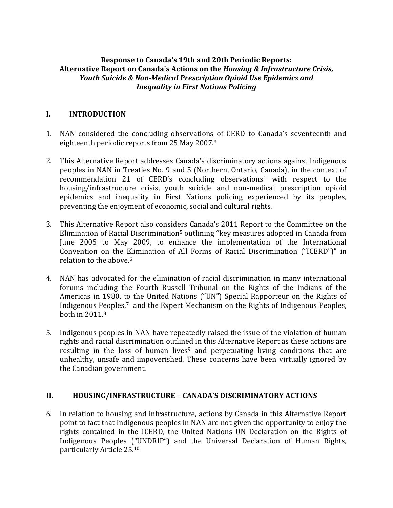#### **Response to Canada's 19th and 20th Periodic Reports: Alternative Report on Canada's Actions on the** *Housing & Infrastructure Crisis, Youth Suicide & Non-Medical Prescription Opioid Use Epidemics and Inequality in First Nations Policing*

## **I. INTRODUCTION**

- 1. NAN considered the concluding observations of CERD to Canada's seventeenth and eighteenth periodic reports from 25 May 2007.<sup>3</sup>
- 2. This Alternative Report addresses Canada's discriminatory actions against Indigenous peoples in NAN in Treaties No. 9 and 5 (Northern, Ontario, Canada), in the context of recommendation 21 of CERD's concluding observations<sup>4</sup> with respect to the housing/infrastructure crisis, youth suicide and non-medical prescription opioid epidemics and inequality in First Nations policing experienced by its peoples, preventing the enjoyment of economic, social and cultural rights.
- 3. This Alternative Report also considers Canada's 2011 Report to the Committee on the Elimination of Racial Discrimination<sup>5</sup> outlining "key measures adopted in Canada from June 2005 to May 2009, to enhance the implementation of the International Convention on the Elimination of All Forms of Racial Discrimination ("ICERD")" in relation to the above.<sup>6</sup>
- 4. NAN has advocated for the elimination of racial discrimination in many international forums including the Fourth Russell Tribunal on the Rights of the Indians of the Americas in 1980, to the United Nations ("UN") Special Rapporteur on the Rights of Indigenous Peoples,<sup>7</sup> and the Expert Mechanism on the Rights of Indigenous Peoples, both in 2011. 8
- 5. Indigenous peoples in NAN have repeatedly raised the issue of the violation of human rights and racial discrimination outlined in this Alternative Report as these actions are resulting in the loss of human lives<sup>9</sup> and perpetuating living conditions that are unhealthy, unsafe and impoverished. These concerns have been virtually ignored by the Canadian government.

#### **II. HOUSING/INFRASTRUCTURE – CANADA'S DISCRIMINATORY ACTIONS**

6. In relation to housing and infrastructure, actions by Canada in this Alternative Report point to fact that Indigenous peoples in NAN are not given the opportunity to enjoy the rights contained in the ICERD, the United Nations UN Declaration on the Rights of Indigenous Peoples ("UNDRIP") and the Universal Declaration of Human Rights, particularly Article 25.10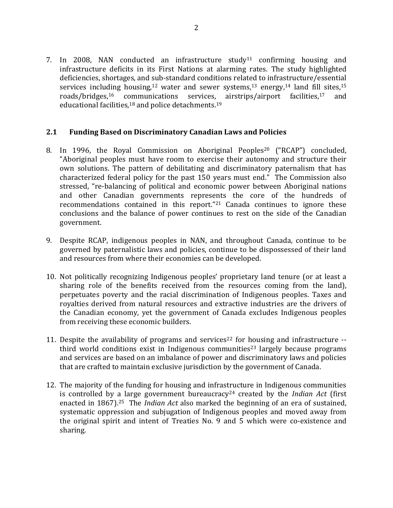7. In 2008, NAN conducted an infrastructure study<sup>11</sup> confirming housing and infrastructure deficits in its First Nations at alarming rates. The study highlighted deficiencies, shortages, and sub-standard conditions related to infrastructure/essential services including housing,<sup>12</sup> water and sewer systems,<sup>13</sup> energy,<sup>14</sup> land fill sites,<sup>15</sup> roads/bridges,<sup>16</sup> communications services, airstrips/airport facilities,<sup>17</sup> and educational facilities,<sup>18</sup> and police detachments.<sup>19</sup>

#### **2.1 Funding Based on Discriminatory Canadian Laws and Policies**

- 8. In 1996, the Royal Commission on Aboriginal Peoples<sup>20</sup> ("RCAP") concluded, "Aboriginal peoples must have room to exercise their autonomy and structure their own solutions. The pattern of debilitating and discriminatory paternalism that has characterized federal policy for the past 150 years must end." The Commission also stressed, "re-balancing of political and economic power between Aboriginal nations and other Canadian governments represents the core of the hundreds of recommendations contained in this report."<sup>21</sup> Canada continues to ignore these conclusions and the balance of power continues to rest on the side of the Canadian government.
- 9. Despite RCAP, indigenous peoples in NAN, and throughout Canada, continue to be governed by paternalistic laws and policies, continue to be dispossessed of their land and resources from where their economies can be developed.
- 10. Not politically recognizing Indigenous peoples' proprietary land tenure (or at least a sharing role of the benefits received from the resources coming from the land), perpetuates poverty and the racial discrimination of Indigenous peoples. Taxes and royalties derived from natural resources and extractive industries are the drivers of the Canadian economy, yet the government of Canada excludes Indigenous peoples from receiving these economic builders.
- 11. Despite the availability of programs and services<sup>22</sup> for housing and infrastructure  $$ third world conditions exist in Indigenous communities<sup>23</sup> largely because programs and services are based on an imbalance of power and discriminatory laws and policies that are crafted to maintain exclusive jurisdiction by the government of Canada.
- 12. The majority of the funding for housing and infrastructure in Indigenous communities is controlled by a large government bureaucracy<sup>24</sup> created by the *Indian Act* (first enacted in 1867).25 The *Indian Act* also marked the beginning of an era of sustained, systematic oppression and subjugation of Indigenous peoples and moved away from the original spirit and intent of Treaties No. 9 and 5 which were co-existence and sharing.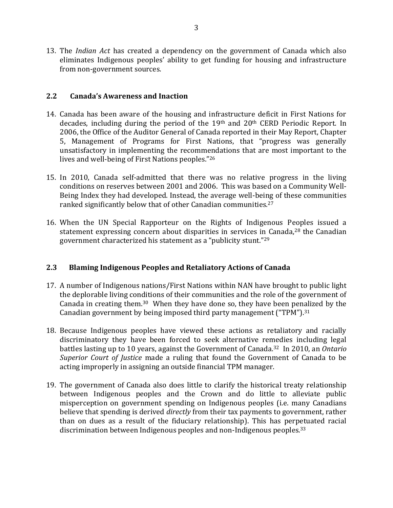13. The *Indian Act* has created a dependency on the government of Canada which also eliminates Indigenous peoples' ability to get funding for housing and infrastructure from non-government sources.

#### **2.2 Canada's Awareness and Inaction**

- 14. Canada has been aware of the housing and infrastructure deficit in First Nations for decades, including during the period of the 19th and 20th CERD Periodic Report. In 2006, the Office of the Auditor General of Canada reported in their May Report, Chapter 5, Management of Programs for First Nations, that "progress was generally unsatisfactory in implementing the recommendations that are most important to the lives and well-being of First Nations peoples."<sup>26</sup>
- 15. In 2010, Canada self-admitted that there was no relative progress in the living conditions on reserves between 2001 and 2006. This was based on a Community Well-Being Index they had developed. Instead, the average well-being of these communities ranked significantly below that of other Canadian communities.<sup>27</sup>
- 16. When the UN Special Rapporteur on the Rights of Indigenous Peoples issued a statement expressing concern about disparities in services in Canada,<sup>28</sup> the Canadian government characterized his statement as a "publicity stunt."<sup>29</sup>

#### **2.3 Blaming Indigenous Peoples and Retaliatory Actions of Canada**

- 17. A number of Indigenous nations/First Nations within NAN have brought to public light the deplorable living conditions of their communities and the role of the government of Canada in creating them.30 When they have done so, they have been penalized by the Canadian government by being imposed third party management ("TPM"). 31
- 18. Because Indigenous peoples have viewed these actions as retaliatory and racially discriminatory they have been forced to seek alternative remedies including legal battles lasting up to 10 years, against the Government of Canada.32 In 2010, an *Ontario Superior Court of Justice* made a ruling that found the Government of Canada to be acting improperly in assigning an outside financial TPM manager.
- 19. The government of Canada also does little to clarify the historical treaty relationship between Indigenous peoples and the Crown and do little to alleviate public misperception on government spending on Indigenous peoples (i.e. many Canadians believe that spending is derived *directly* from their tax payments to government, rather than on dues as a result of the fiduciary relationship). This has perpetuated racial discrimination between Indigenous peoples and non-Indigenous peoples.33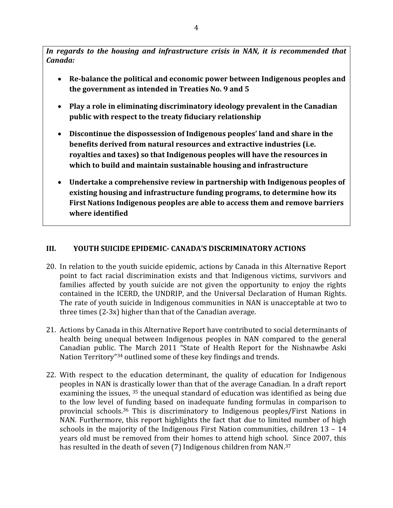*In regards to the housing and infrastructure crisis in NAN, it is recommended that Canada:*

- **Re-balance the political and economic power between Indigenous peoples and the government as intended in Treaties No. 9 and 5**
- **Play a role in eliminating discriminatory ideology prevalent in the Canadian public with respect to the treaty fiduciary relationship**
- **Discontinue the dispossession of Indigenous peoples' land and share in the benefits derived from natural resources and extractive industries (i.e. royalties and taxes) so that Indigenous peoples will have the resources in which to build and maintain sustainable housing and infrastructure**
- **Undertake a comprehensive review in partnership with Indigenous peoples of existing housing and infrastructure funding programs, to determine how its First Nations Indigenous peoples are able to access them and remove barriers where identified**

## **III. YOUTH SUICIDE EPIDEMIC- CANADA'S DISCRIMINATORY ACTIONS**

- 20. In relation to the youth suicide epidemic, actions by Canada in this Alternative Report point to fact racial discrimination exists and that Indigenous victims, survivors and families affected by youth suicide are not given the opportunity to enjoy the rights contained in the ICERD, the UNDRIP, and the Universal Declaration of Human Rights. The rate of youth suicide in Indigenous communities in NAN is unacceptable at two to three times (2-3x) higher than that of the Canadian average.
- 21. Actions by Canada in this Alternative Report have contributed to social determinants of health being unequal between Indigenous peoples in NAN compared to the general Canadian public. The March 2011 "State of Health Report for the Nishnawbe Aski Nation Territory"<sup>34</sup> outlined some of these key findings and trends.
- 22. With respect to the education determinant, the quality of education for Indigenous peoples in NAN is drastically lower than that of the average Canadian. In a draft report examining the issues, <sup>35</sup> the unequal standard of education was identified as being due to the low level of funding based on inadequate funding formulas in comparison to provincial schools.<sup>36</sup> This is discriminatory to Indigenous peoples/First Nations in NAN. Furthermore, this report highlights the fact that due to limited number of high schools in the majority of the Indigenous First Nation communities, children 13 – 14 years old must be removed from their homes to attend high school. Since 2007, this has resulted in the death of seven (7) Indigenous children from NAN.<sup>37</sup>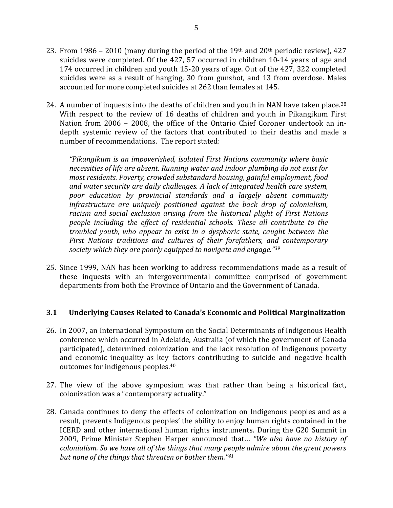- 23. From 1986 2010 (many during the period of the 19th and  $20<sup>th</sup>$  periodic review), 427 suicides were completed. Of the 427, 57 occurred in children 10-14 years of age and 174 occurred in children and youth 15-20 years of age. Out of the 427, 322 completed suicides were as a result of hanging, 30 from gunshot, and 13 from overdose. Males accounted for more completed suicides at 262 than females at 145.
- 24. A number of inquests into the deaths of children and youth in NAN have taken place.<sup>38</sup> With respect to the review of 16 deaths of children and youth in Pikangikum First Nation from 2006 – 2008, the office of the Ontario Chief Coroner undertook an indepth systemic review of the factors that contributed to their deaths and made a number of recommendations. The report stated:

*"Pikangikum is an impoverished, isolated First Nations community where basic necessities of life are absent. Running water and indoor plumbing do not exist for most residents. Poverty, crowded substandard housing, gainful employment, food and water security are daily challenges. A lack of integrated health care system, poor education by provincial standards and a largely absent community infrastructure are uniquely positioned against the back drop of colonialism, racism and social exclusion arising from the historical plight of First Nations people including the effect of residential schools. These all contribute to the troubled youth, who appear to exist in a dysphoric state, caught between the First Nations traditions and cultures of their forefathers, and contemporary society which they are poorly equipped to navigate and engage."<sup>39</sup>*

25. Since 1999, NAN has been working to address recommendations made as a result of these inquests with an intergovernmental committee comprised of government departments from both the Province of Ontario and the Government of Canada.

#### **3.1 Underlying Causes Related to Canada's Economic and Political Marginalization**

- 26. In 2007, an International Symposium on the Social Determinants of Indigenous Health conference which occurred in Adelaide, Australia (of which the government of Canada participated), determined colonization and the lack resolution of Indigenous poverty and economic inequality as key factors contributing to suicide and negative health outcomes for indigenous peoples.<sup>40</sup>
- 27. The view of the above symposium was that rather than being a historical fact, colonization was a "contemporary actuality."
- 28. Canada continues to deny the effects of colonization on Indigenous peoples and as a result, prevents Indigenous peoples' the ability to enjoy human rights contained in the ICERD and other international human rights instruments. During the G20 Summit in 2009, Prime Minister Stephen Harper announced that… *"We also have no history of colonialism. So we have all of the things that many people admire about the great powers but none of the things that threaten or bother them."41*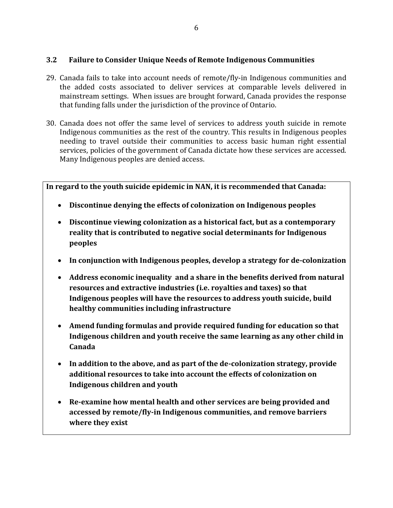## **3.2 Failure to Consider Unique Needs of Remote Indigenous Communities**

- 29. Canada fails to take into account needs of remote/fly-in Indigenous communities and the added costs associated to deliver services at comparable levels delivered in mainstream settings. When issues are brought forward, Canada provides the response that funding falls under the jurisdiction of the province of Ontario.
- 30. Canada does not offer the same level of services to address youth suicide in remote Indigenous communities as the rest of the country. This results in Indigenous peoples needing to travel outside their communities to access basic human right essential services, policies of the government of Canada dictate how these services are accessed. Many Indigenous peoples are denied access.

**In regard to the youth suicide epidemic in NAN, it is recommended that Canada:**

- **Discontinue denying the effects of colonization on Indigenous peoples**
- **Discontinue viewing colonization as a historical fact, but as a contemporary reality that is contributed to negative social determinants for Indigenous peoples**
- **In conjunction with Indigenous peoples, develop a strategy for de-colonization**
- **Address economic inequality and a share in the benefits derived from natural resources and extractive industries (i.e. royalties and taxes) so that Indigenous peoples will have the resources to address youth suicide, build healthy communities including infrastructure**
- **Amend funding formulas and provide required funding for education so that Indigenous children and youth receive the same learning as any other child in Canada**
- **In addition to the above, and as part of the de-colonization strategy, provide additional resources to take into account the effects of colonization on Indigenous children and youth**
- **Re-examine how mental health and other services are being provided and accessed by remote/fly-in Indigenous communities, and remove barriers where they exist**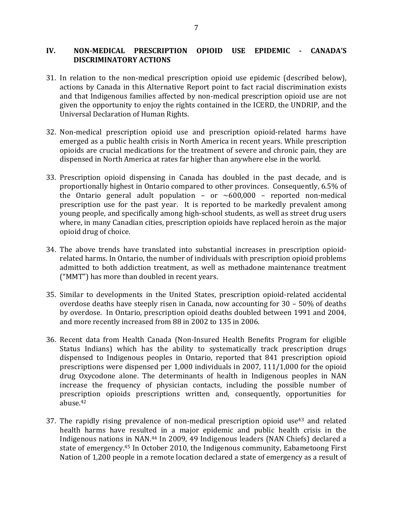#### **IV. NON-MEDICAL PRESCRIPTION OPIOID USE EPIDEMIC - CANADA'S DISCRIMINATORY ACTIONS**

- 31. In relation to the non-medical prescription opioid use epidemic (described below), actions by Canada in this Alternative Report point to fact racial discrimination exists and that Indigenous families affected by non-medical prescription opioid use are not given the opportunity to enjoy the rights contained in the ICERD, the UNDRIP, and the Universal Declaration of Human Rights.
- 32. Non-medical prescription opioid use and prescription opioid-related harms have emerged as a public health crisis in North America in recent years. While prescription opioids are crucial medications for the treatment of severe and chronic pain, they are dispensed in North America at rates far higher than anywhere else in the world.
- 33. Prescription opioid dispensing in Canada has doubled in the past decade, and is proportionally highest in Ontario compared to other provinces. Consequently, 6.5% of the Ontario general adult population - or  $\sim 600,000$  - reported non-medical prescription use for the past year. It is reported to be markedly prevalent among young people, and specifically among high-school students, as well as street drug users where, in many Canadian cities, prescription opioids have replaced heroin as the major opioid drug of choice.
- 34. The above trends have translated into substantial increases in prescription opioidrelated harms. In Ontario, the number of individuals with prescription opioid problems admitted to both addiction treatment, as well as methadone maintenance treatment ("MMT") has more than doubled in recent years.
- 35. Similar to developments in the United States, prescription opioid-related accidental overdose deaths have steeply risen in Canada, now accounting for 30 – 50% of deaths by overdose. In Ontario, prescription opioid deaths doubled between 1991 and 2004, and more recently increased from 88 in 2002 to 135 in 2006.
- 36. Recent data from Health Canada (Non-Insured Health Benefits Program for eligible Status Indians) which has the ability to systematically track prescription drugs dispensed to Indigenous peoples in Ontario, reported that 841 prescription opioid prescriptions were dispensed per 1,000 individuals in 2007, 111/1,000 for the opioid drug Oxycodone alone. The determinants of health in Indigenous peoples in NAN increase the frequency of physician contacts, including the possible number of prescription opioids prescriptions written and, consequently, opportunities for abuse.<sup>42</sup>
- 37. The rapidly rising prevalence of non-medical prescription opioid use<sup>43</sup> and related health harms have resulted in a major epidemic and public health crisis in the Indigenous nations in NAN.<sup>44</sup> In 2009, 49 Indigenous leaders (NAN Chiefs) declared a state of emergency.<sup>45</sup> In October 2010, the Indigenous community, Eabametoong First Nation of 1,200 people in a remote location declared a state of emergency as a result of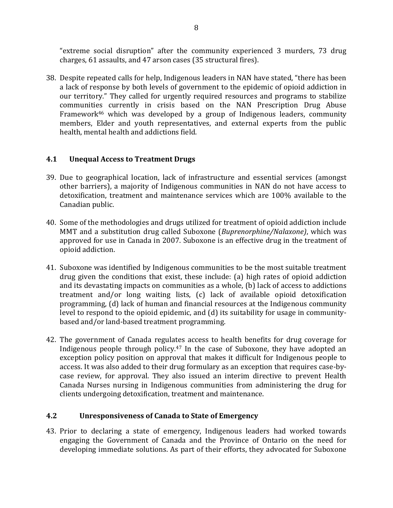"extreme social disruption" after the community experienced 3 murders, 73 drug charges, 61 assaults, and 47 arson cases (35 structural fires).

38. Despite repeated calls for help, Indigenous leaders in NAN have stated, "there has been a lack of response by both levels of government to the epidemic of opioid addiction in our territory." They called for urgently required resources and programs to stabilize communities currently in crisis based on the NAN Prescription Drug Abuse Framework<sup>46</sup> which was developed by a group of Indigenous leaders, community members, Elder and youth representatives, and external experts from the public health, mental health and addictions field.

## **4.1 Unequal Access to Treatment Drugs**

- 39. Due to geographical location, lack of infrastructure and essential services (amongst other barriers), a majority of Indigenous communities in NAN do not have access to detoxification, treatment and maintenance services which are 100% available to the Canadian public.
- 40. Some of the methodologies and drugs utilized for treatment of opioid addiction include MMT and a substitution drug called Suboxone (*Buprenorphine/Nalaxone)*, which was approved for use in Canada in 2007. Suboxone is an effective drug in the treatment of opioid addiction.
- 41. Suboxone was identified by Indigenous communities to be the most suitable treatment drug given the conditions that exist, these include: (a) high rates of opioid addiction and its devastating impacts on communities as a whole, (b) lack of access to addictions treatment and/or long waiting lists, (c) lack of available opioid detoxification programming, (d) lack of human and financial resources at the Indigenous community level to respond to the opioid epidemic, and (d) its suitability for usage in communitybased and/or land-based treatment programming.
- 42. The government of Canada regulates access to health benefits for drug coverage for Indigenous people through policy.<sup>47</sup> In the case of Suboxone, they have adopted an exception policy position on approval that makes it difficult for Indigenous people to access. It was also added to their drug formulary as an exception that requires case-bycase review, for approval. They also issued an interim directive to prevent Health Canada Nurses nursing in Indigenous communities from administering the drug for clients undergoing detoxification, treatment and maintenance.

#### **4.2 Unresponsiveness of Canada to State of Emergency**

43. Prior to declaring a state of emergency, Indigenous leaders had worked towards engaging the Government of Canada and the Province of Ontario on the need for developing immediate solutions. As part of their efforts, they advocated for Suboxone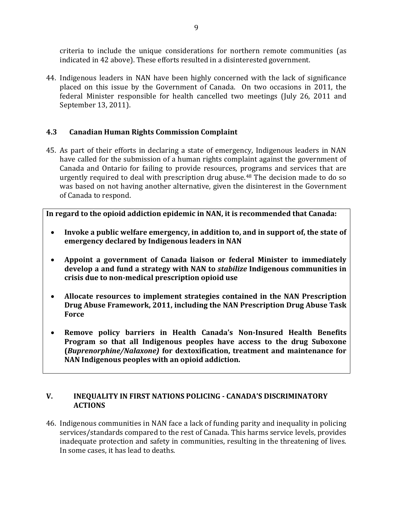criteria to include the unique considerations for northern remote communities (as indicated in 42 above). These efforts resulted in a disinterested government.

44. Indigenous leaders in NAN have been highly concerned with the lack of significance placed on this issue by the Government of Canada. On two occasions in 2011, the federal Minister responsible for health cancelled two meetings (July 26, 2011 and September 13, 2011).

## **4.3 Canadian Human Rights Commission Complaint**

45. As part of their efforts in declaring a state of emergency, Indigenous leaders in NAN have called for the submission of a human rights complaint against the government of Canada and Ontario for failing to provide resources, programs and services that are urgently required to deal with prescription drug abuse.<sup>48</sup> The decision made to do so was based on not having another alternative, given the disinterest in the Government of Canada to respond.

**In regard to the opioid addiction epidemic in NAN, it is recommended that Canada:**

- **Invoke a public welfare emergency, in addition to, and in support of, the state of emergency declared by Indigenous leaders in NAN**
- **Appoint a government of Canada liaison or federal Minister to immediately develop a and fund a strategy with NAN to** *stabilize* **Indigenous communities in crisis due to non-medical prescription opioid use**
- **Allocate resources to implement strategies contained in the NAN Prescription Drug Abuse Framework, 2011, including the NAN Prescription Drug Abuse Task Force**
- **Remove policy barriers in Health Canada's Non-Insured Health Benefits Program so that all Indigenous peoples have access to the drug Suboxone (***Buprenorphine/Nalaxone)* **for dextoxification, treatment and maintenance for NAN Indigenous peoples with an opioid addiction.**

## **V. INEQUALITY IN FIRST NATIONS POLICING - CANADA'S DISCRIMINATORY ACTIONS**

46. Indigenous communities in NAN face a lack of funding parity and inequality in policing services/standards compared to the rest of Canada. This harms service levels, provides inadequate protection and safety in communities, resulting in the threatening of lives. In some cases, it has lead to deaths.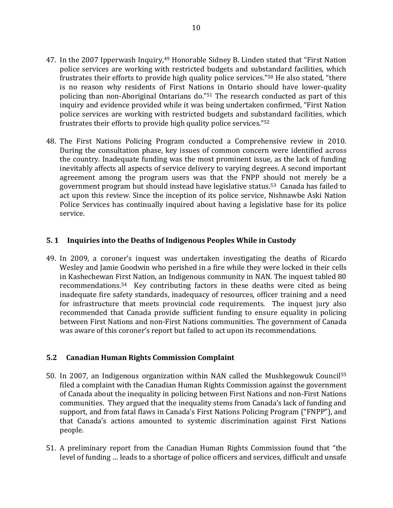- 47. In the 2007 Ipperwash Inquiry,<sup>49</sup> Honorable Sidney B. Linden stated that "First Nation police services are working with restricted budgets and substandard facilities, which frustrates their efforts to provide high quality police services."<sup>50</sup> He also stated, "there is no reason why residents of First Nations in Ontario should have lower-quality policing than non-Aboriginal Ontarians do."<sup>51</sup> The research conducted as part of this inquiry and evidence provided while it was being undertaken confirmed, "First Nation police services are working with restricted budgets and substandard facilities, which frustrates their efforts to provide high quality police services."<sup>52</sup>
- 48. The First Nations Policing Program conducted a Comprehensive review in 2010. During the consultation phase, key issues of common concern were identified across the country. Inadequate funding was the most prominent issue, as the lack of funding inevitably affects all aspects of service delivery to varying degrees. A second important agreement among the program users was that the FNPP should not merely be a government program but should instead have legislative status.53 Canada has failed to act upon this review. Since the inception of its police service, Nishnawbe Aski Nation Police Services has continually inquired about having a legislative base for its police service.

#### **5. 1 Inquiries into the Deaths of Indigenous Peoples While in Custody**

49. In 2009, a coroner's inquest was undertaken investigating the deaths of Ricardo Wesley and Jamie Goodwin who perished in a fire while they were locked in their cells in Kashechewan First Nation, an Indigenous community in NAN. The inquest tabled 80 recommendations.<sup>54</sup> Key contributing factors in these deaths were cited as being inadequate fire safety standards, inadequacy of resources, officer training and a need for infrastructure that meets provincial code requirements. The inquest jury also recommended that Canada provide sufficient funding to ensure equality in policing between First Nations and non-First Nations communities. The government of Canada was aware of this coroner's report but failed to act upon its recommendations.

#### **5.2 Canadian Human Rights Commission Complaint**

- 50. In 2007, an Indigenous organization within NAN called the Mushkegowuk Council<sup>55</sup> filed a complaint with the Canadian Human Rights Commission against the government of Canada about the inequality in policing between First Nations and non-First Nations communities. They argued that the inequality stems from Canada's lack of funding and support, and from fatal flaws in Canada's First Nations Policing Program ("FNPP"), and that Canada's actions amounted to systemic discrimination against First Nations people.
- 51. A preliminary report from the Canadian Human Rights Commission found that "the level of funding … leads to a shortage of police officers and services, difficult and unsafe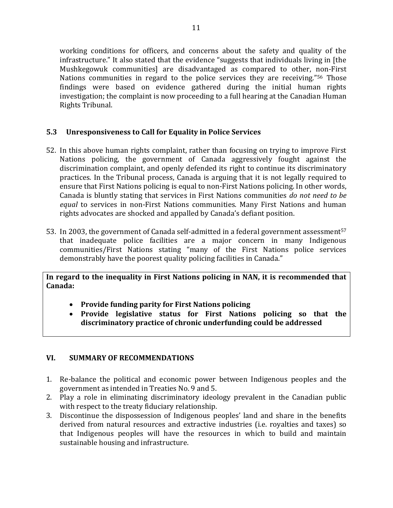working conditions for officers, and concerns about the safety and quality of the infrastructure." It also stated that the evidence "suggests that individuals living in [the Mushkegowuk communities] are disadvantaged as compared to other, non-First Nations communities in regard to the police services they are receiving."<sup>56</sup> Those findings were based on evidence gathered during the initial human rights investigation; the complaint is now proceeding to a full hearing at the Canadian Human Rights Tribunal.

## **5.3 Unresponsiveness to Call for Equality in Police Services**

- 52. In this above human rights complaint, rather than focusing on trying to improve First Nations policing, the government of Canada aggressively fought against the discrimination complaint, and openly defended its right to continue its discriminatory practices. In the Tribunal process, Canada is arguing that it is not legally required to ensure that First Nations policing is equal to non-First Nations policing. In other words, Canada is bluntly stating that services in First Nations communities *do not need to be equal* to services in non-First Nations communities. Many First Nations and human rights advocates are shocked and appalled by Canada's defiant position.
- 53. In 2003, the government of Canada self-admitted in a federal government assessment<sup>57</sup> that inadequate police facilities are a major concern in many Indigenous communities/First Nations stating "many of the First Nations police services demonstrably have the poorest quality policing facilities in Canada."

**In regard to the inequality in First Nations policing in NAN, it is recommended that Canada:**

- **Provide funding parity for First Nations policing**
- **Provide legislative status for First Nations policing so that the discriminatory practice of chronic underfunding could be addressed**

# **VI. SUMMARY OF RECOMMENDATIONS**

- 1. Re-balance the political and economic power between Indigenous peoples and the government as intended in Treaties No. 9 and 5.
- 2. Play a role in eliminating discriminatory ideology prevalent in the Canadian public with respect to the treaty fiduciary relationship.
- 3. Discontinue the dispossession of Indigenous peoples' land and share in the benefits derived from natural resources and extractive industries (i.e. royalties and taxes) so that Indigenous peoples will have the resources in which to build and maintain sustainable housing and infrastructure.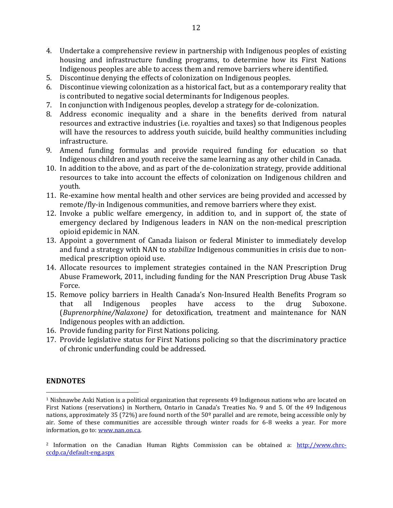- 4. Undertake a comprehensive review in partnership with Indigenous peoples of existing housing and infrastructure funding programs, to determine how its First Nations Indigenous peoples are able to access them and remove barriers where identified.
- 5. Discontinue denying the effects of colonization on Indigenous peoples.
- 6. Discontinue viewing colonization as a historical fact, but as a contemporary reality that is contributed to negative social determinants for Indigenous peoples.
- 7. In conjunction with Indigenous peoples, develop a strategy for de-colonization.
- 8. Address economic inequality and a share in the benefits derived from natural resources and extractive industries (i.e. royalties and taxes) so that Indigenous peoples will have the resources to address youth suicide, build healthy communities including infrastructure.
- 9. Amend funding formulas and provide required funding for education so that Indigenous children and youth receive the same learning as any other child in Canada.
- 10. In addition to the above, and as part of the de-colonization strategy, provide additional resources to take into account the effects of colonization on Indigenous children and youth.
- 11. Re-examine how mental health and other services are being provided and accessed by remote/fly-in Indigenous communities, and remove barriers where they exist.
- 12. Invoke a public welfare emergency, in addition to, and in support of, the state of emergency declared by Indigenous leaders in NAN on the non-medical prescription opioid epidemic in NAN.
- 13. Appoint a government of Canada liaison or federal Minister to immediately develop and fund a strategy with NAN to *stabilize* Indigenous communities in crisis due to nonmedical prescription opioid use.
- 14. Allocate resources to implement strategies contained in the NAN Prescription Drug Abuse Framework, 2011, including funding for the NAN Prescription Drug Abuse Task Force.
- 15. Remove policy barriers in Health Canada's Non-Insured Health Benefits Program so that all Indigenous peoples have access to the drug Suboxone. (*Buprenorphine/Nalaxone)* for detoxification, treatment and maintenance for NAN Indigenous peoples with an addiction.
- 16. Provide funding parity for First Nations policing.
- 17. Provide legislative status for First Nations policing so that the discriminatory practice of chronic underfunding could be addressed.

## **ENDNOTES**

 $\overline{a}$ 

<sup>1</sup> Nishnawbe Aski Nation is a political organization that represents 49 Indigenous nations who are located on First Nations (reservations) in Northern, Ontario in Canada's Treaties No. 9 and 5. Of the 49 Indigenous nations, approximately 35 (72%) are found north of the  $50^{\circ}$  parallel and are remote, being accessible only by air. Some of these communities are accessible through winter roads for 6-8 weeks a year. For more information, go to: [www.nan.on.ca.](http://www.nan.on.ca/) 

<sup>2</sup> Information on the Canadian Human Rights Commission can be obtained a: [http://www.chrc](http://www.chrc-ccdp.ca/default-eng.aspx)[ccdp.ca/default-eng.aspx](http://www.chrc-ccdp.ca/default-eng.aspx)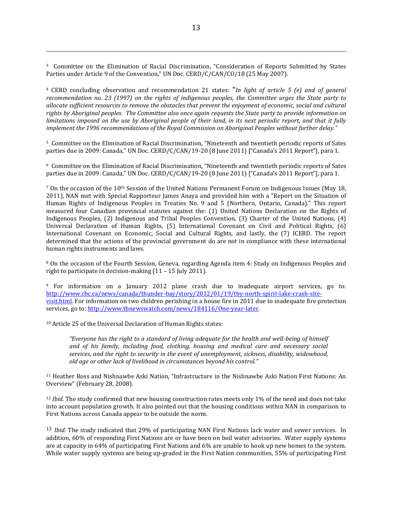<sup>3</sup> Committee on the Elimination of Racial Discrimination, "Consideration of Reports Submitted by States Parties under Article 9 of the Convention," UN Doc. CERD/C/CAN/CO/18 (25 May 2007).

<sup>4</sup> CERD concluding observation and recommendation 21 states: "*In light of article 5 (e) and of general recommendation no. 23 (1997) on the rights of indigenous peoples, the Committee urges the State party to allocate sufficient resources to remove the obstacles that prevent the enjoyment of economic, social and cultural rights by Aboriginal peoples. The Committee also once again requests the State party to provide information on limitations imposed on the use by Aboriginal people of their land, in its next periodic report, and that it fully implement the 1996 recommendations of the Royal Commission on Aboriginal Peoples without further delay."*

<sup>5</sup> Committee on the Elimination of Racial Discrimination, "Nineteenth and twentieth periodic reports of Sates parties due in 2009: Canada," UN Doc. CERD/C/CAN/19-20 (8 June 2011) ["Canada's 2011 Report"], para 1.

<sup>6</sup> Committee on the Elimination of Racial Discrimination, "Nineteenth and twentieth periodic reports of Sates parties due in 2009: Canada," UN Doc. CERD/C/CAN/19-20 (8 June 2011) ["Canada's 2011 Report"], para 1.

 $7$  On the occasion of the 10<sup>th</sup> Session of the United Nations Permanent Forum on Indigenous Issues (May 18, 2011), NAN met with Special Rapporteur James Anaya and provided him with a "Report on the Situation of Human Rights of Indigenous Peoples in Treaties No. 9 and 5 (Northern, Ontario, Canada)." This report measured four Canadian provincial statutes against the: (1) United Nations Declaration on the Rights of Indigenous Peoples, (2) Indigenous and Tribal Peoples Convention, (3) Charter of the United Nations, (4) Universal Declaration of Human Rights, (5) International Covenant on Civil and Political Rights, (6) International Covenant on Economic, Social and Cultural Rights, and lastly, the (7) ICERD. The report determined that the actions of the provincial government do are not in compliance with these international human rights instruments and laws.

<sup>8</sup> On the occasion of the Fourth Session, Geneva, regarding Agenda item 4: Study on Indigenous Peoples and right to participate in decision-making (11 – 15 July 2011).

<sup>9</sup> For information on a January 2012 plane crash due to inadequate airport services, go to: [http://www.cbc.ca/news/canada/thunder-bay/story/2012/01/19/tby-north-spirit-lake-crash-site](http://www.cbc.ca/news/canada/thunder-bay/story/2012/01/19/tby-north-spirit-lake-crash-site-visit.html)[visit.html.](http://www.cbc.ca/news/canada/thunder-bay/story/2012/01/19/tby-north-spirit-lake-crash-site-visit.html) For information on two children perishing in a house fire in 2011 due to inadequate fire protection services, go to: [http://www.tbnewswatch.com/news/184116/One-year-later.](http://www.tbnewswatch.com/news/184116/One-year-later)

<sup>10</sup> Article 25 of the Universal Declaration of Human Rights states:

 $\overline{a}$ 

*"Everyone has the right to a standard of living adequate for the health and well-being of himself and of his family, including food, clothing, housing and medical care and necessary social services, and the right to security in the event of unemployment, sickness, disability, widowhood, old age or other lack of livelihood in circumstances beyond his control."* 

<sup>11</sup> Heather Ross and Nishnawbe Aski Nation, "Infrastructure in the Nishnawbe Aski Nation First Nations: An Overview" (February 28, 2008).

<sup>12</sup> *Ibid.* The study confirmed that new housing construction rates meets only 1% of the need and does not take into account population growth. It also pointed out that the housing conditions within NAN in comparison to First Nations across Canada appear to be outside the norm.

13 *Ibid.* The study indicated that 29% of participating NAN First Nations lack water and sewer services. In addition, 60% of responding First Nations are or have been on boil water advisories. Water supply systems are at capacity in 64% of participating First Nations and 6% are unable to hook up new homes to the system. While water supply systems are being up-graded in the First Nation communities, 55% of participating First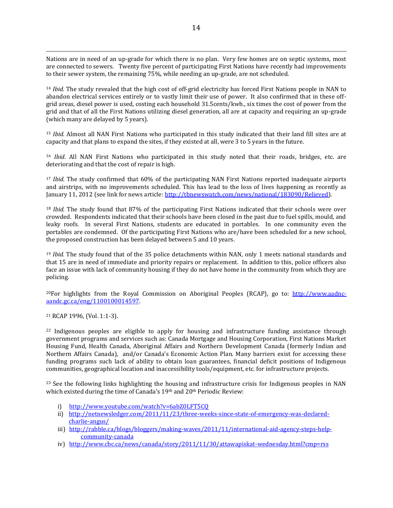Nations are in need of an up-grade for which there is no plan. Very few homes are on septic systems, most are connected to sewers. Twenty five percent of participating First Nations have recently had improvements to their sewer system, the remaining 75%, while needing an up-grade, are not scheduled.

<sup>14</sup> *Ibid.* The study revealed that the high cost of off-grid electricity has forced First Nations people in NAN to abandon electrical services entirely or to vastly limit their use of power. It also confirmed that in these offgrid areas, diesel power is used, costing each household 31.5cents/kwh., six times the cost of power from the grid and that of all the First Nations utilizing diesel generation, all are at capacity and requiring an up-grade (which many are delayed by 5 years).

<sup>15</sup> *Ibid.* Almost all NAN First Nations who participated in this study indicated that their land fill sites are at capacity and that plans to expand the sites, if they existed at all, were 3 to 5 years in the future.

<sup>16</sup> *Ibid*. All NAN First Nations who participated in this study noted that their roads, bridges, etc. are deteriorating and that the cost of repair is high.

<sup>17</sup> *Ibid.* The study confirmed that 60% of the participating NAN First Nations reported inadequate airports and airstrips, with no improvements scheduled. This has lead to the loss of lives happening as recently as January 11, 2012 (see link for news article: [http://tbnewswatch.com/news/national/183090/Relieved\)](http://tbnewswatch.com/news/national/183090/Relieved).

<sup>18</sup> *Ibid.* The study found that 87% of the participating First Nations indicated that their schools were over crowded. Respondents indicated that their schools have been closed in the past due to fuel spills, mould, and leaky roofs. In several First Nations, students are educated in portables. In one community even the portables are condemned. Of the participating First Nations who are/have been scheduled for a new school, the proposed construction has been delayed between 5 and 10 years.

<sup>19</sup> *Ibid.* The study found that of the 35 police detachments within NAN, only 1 meets national standards and that 15 are in need of immediate and priority repairs or replacement. In addition to this, police officers also face an issue with lack of community housing if they do not have home in the community from which they are policing.

<sup>20</sup>For highlights from the Royal Commission on Aboriginal Peoples (RCAP), go to: [http://www.aadnc](http://www.aadnc-aandc.gc.ca/eng/1100100014597)[aandc.gc.ca/eng/1100100014597.](http://www.aadnc-aandc.gc.ca/eng/1100100014597)

<sup>21</sup> RCAP 1996, (Vol. 1:1-3).

 $\overline{a}$ 

<sup>22</sup> Indigenous peoples are eligible to apply for housing and infrastructure funding assistance through government programs and services such as: Canada Mortgage and Housing Corporation, First Nations Market Housing Fund, Health Canada, Aboriginal Affairs and Northern Development Canada (formerly Indian and Northern Affairs Canada), and/or Canada's Economic Action Plan. Many barriers exist for accessing these funding programs such lack of ability to obtain loan guarantees, financial deficit positions of Indigenous communities, geographical location and inaccessibility tools/equipment, etc. for infrastructure projects.

<sup>23</sup> See the following links highlighting the housing and infrastructure crisis for Indigenous peoples in NAN which existed during the time of Canada's 19th and 20th Periodic Review:

- i) <http://www.youtube.com/watch?v=6abZ0LFT5CQ>
- ii) [http://netnewsledger.com/2011/11/23/three-weeks-since-state-of-emergency-was-declared](http://netnewsledger.com/2011/11/23/three-weeks-since-state-of-emergency-was-declared-charlie-angus/)[charlie-angus/](http://netnewsledger.com/2011/11/23/three-weeks-since-state-of-emergency-was-declared-charlie-angus/)
- iii) [http://rabble.ca/blogs/bloggers/making-waves/2011/11/international-aid-agency-steps-help](http://rabble.ca/blogs/bloggers/making-waves/2011/11/international-aid-agency-steps-help-community-canada)[community-canada](http://rabble.ca/blogs/bloggers/making-waves/2011/11/international-aid-agency-steps-help-community-canada)
- iv) <http://www.cbc.ca/news/canada/story/2011/11/30/attawapiskat-wednesday.html?cmp=rss>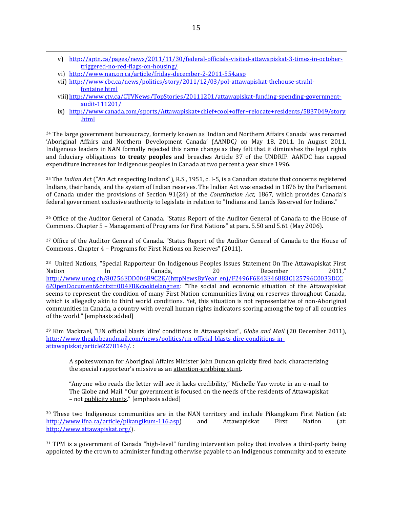- v) [http://aptn.ca/pages/news/2011/11/30/federal-officials-visited-attawapiskat-3-times-in-october](http://aptn.ca/pages/news/2011/11/30/federal-officials-visited-attawapiskat-3-times-in-october-triggered-no-red-flags-on-housing/)[triggered-no-red-flags-on-housing/](http://aptn.ca/pages/news/2011/11/30/federal-officials-visited-attawapiskat-3-times-in-october-triggered-no-red-flags-on-housing/)
- vi) <http://www.nan.on.ca/article/friday-december-2-2011-554.asp>

 $\overline{a}$ 

- vii) [http://www.cbc.ca/news/politics/story/2011/12/03/pol-attawapiskat-thehouse-strahl](http://www.cbc.ca/news/politics/story/2011/12/03/pol-attawapiskat-thehouse-strahl-fontaine.html)[fontaine.html](http://www.cbc.ca/news/politics/story/2011/12/03/pol-attawapiskat-thehouse-strahl-fontaine.html)
- viii[\)http://www.ctv.ca/CTVNews/TopStories/20111201/attawapiskat-funding-spending-government](http://www.ctv.ca/CTVNews/TopStories/20111201/attawapiskat-funding-spending-government-audit-111201/)[audit-111201/](http://www.ctv.ca/CTVNews/TopStories/20111201/attawapiskat-funding-spending-government-audit-111201/)
- ix) [http://www.canada.com/sports/Attawapiskat+chief+cool+offer+relocate+residents/5837049/story](http://www.canada.com/sports/Attawapiskat+chief+cool+offer+relocate+residents/5837049/story.html) [.html](http://www.canada.com/sports/Attawapiskat+chief+cool+offer+relocate+residents/5837049/story.html)

<sup>24</sup> The large government bureaucracy, formerly known as 'Indian and Northern Affairs Canada' was renamed 'Aboriginal Affairs and Northern Development Canada' (AANDC*)* on May 18, 2011. In August 2011, Indigenous leaders in NAN formally rejected this name change as they felt that it diminishes the legal rights and fiduciary obligations **to treaty peoples** and breaches Article 37 of the UNDRIP. AANDC has capped expenditure increases for Indigenous peoples in Canada at two percent a year since 1996.

<sup>25</sup> The *Indian Act* ("An Act respecting Indians"), R.S., 1951, c. I-5, is a Canadian statute that concerns registered Indians, their bands, and the system of Indian reserves. The Indian Act was enacted in 1876 by the Parliament of Canada under the provisions of Section 91(24) of the *Constitution Act,* 1867, which provides Canada's federal government exclusive authority to legislate in relation to "Indians and Lands Reserved for Indians."

<sup>26</sup> Office of the Auditor General of Canada. "Status Report of the Auditor General of Canada to the House of Commons. Chapter 5 – Management of Programs for First Nations" at para. 5.50 and 5.61 (May 2006).

<sup>27</sup> Office of the Auditor General of Canada. "Status Report of the Auditor General of Canada to the House of Commons . Chapter 4 – Programs for First Nations on Reserves" (2011).

<sup>28</sup> United Nations, "Special Rapporteur On Indigenous Peoples Issues Statement On The Attawapiskat First Nation In Canada, 20 December 2011," [http://www.unog.ch/80256EDD006B9C2E/\(httpNewsByYear\\_en\)/F2496F6E43E46883C125796C0033DCC](http://www.unog.ch/80256EDD006B9C2E/(httpNewsByYear_en)/F2496F6E43E46883C125796C0033DCC6?OpenDocument&cntxt=0D4FB&cookielang=en) [6?OpenDocument&cntxt=0D4FB&cookielang=en:](http://www.unog.ch/80256EDD006B9C2E/(httpNewsByYear_en)/F2496F6E43E46883C125796C0033DCC6?OpenDocument&cntxt=0D4FB&cookielang=en) "The social and economic situation of the Attawapiskat seems to represent the condition of many First Nation communities living on reserves throughout Canada, which is allegedly akin to third world conditions. Yet, this situation is not representative of non-Aboriginal communities in Canada, a country with overall human rights indicators scoring among the top of all countries of the world." [emphasis added]

<sup>29</sup> Kim Mackrael, "UN official blasts 'dire' conditions in Attawapiskat", *Globe and Mail* (20 December 2011), [http://www.theglobeandmail.com/news/politics/un-official-blasts-dire-conditions-in](http://www.theglobeandmail.com/news/politics/un-official-blasts-dire-conditions-in-attawapiskat/article2278146/)[attawapiskat/article2278146/.](http://www.theglobeandmail.com/news/politics/un-official-blasts-dire-conditions-in-attawapiskat/article2278146/) :

A spokeswoman for Aboriginal Affairs Minister John Duncan quickly fired back, characterizing the special rapporteur's missive as an attention-grabbing stunt.

"Anyone who reads the letter will see it lacks credibility," Michelle Yao wrote in an e-mail to The Globe and Mail. "Our government is focused on the needs of the residents of Attawapiskat - not publicity stunts." [emphasis added]

<sup>30</sup> These two Indigenous communities are in the NAN territory and include Pikangikum First Nation (at: [http://www.ifna.ca/article/pikangikum-116.asp\)](http://www.ifna.ca/article/pikangikum-116.asp) and Attawapiskat First Nation (at: [http://www.attawapiskat.org/\)](http://www.attawapiskat.org/).

<sup>31</sup> TPM is a government of Canada "high-level" funding intervention policy that involves a third-party being appointed by the crown to administer funding otherwise payable to an Indigenous community and to execute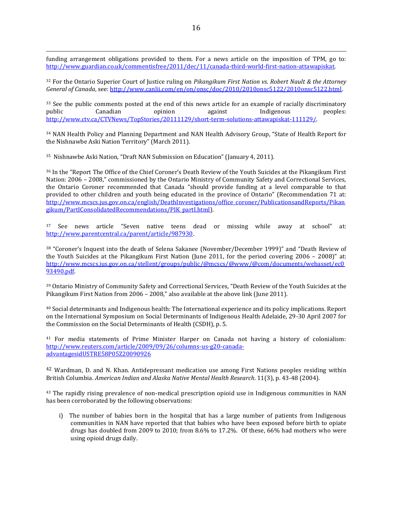funding arrangement obligations provided to them. For a news article on the imposition of TPM, go to: [http://www.guardian.co.uk/commentisfree/2011/dec/11/canada-third-world-first-nation-attawapiskat.](http://www.guardian.co.uk/commentisfree/2011/dec/11/canada-third-world-first-nation-attawapiskat)

<sup>32</sup> For the Ontario Superior Court of Justice ruling on *Pikangikum First Nation vs. Robert Nault & the Attorney General of Canada*, see[: http://www.canlii.com/en/on/onsc/doc/2010/2010onsc5122/2010onsc5122.html.](http://www.canlii.com/en/on/onsc/doc/2010/2010onsc5122/2010onsc5122.html)

<sup>33</sup> See the public comments posted at the end of this news article for an example of racially discriminatory public Canadian opinion against Indigenous peoples: [http://www.ctv.ca/CTVNews/TopStories/20111129/short-term-solutions-attawapiskat-111129/.](http://www.ctv.ca/CTVNews/TopStories/20111129/short-term-solutions-attawapiskat-111129/) 

<sup>34</sup> NAN Health Policy and Planning Department and NAN Health Advisory Group, "State of Health Report for the Nishnawbe Aski Nation Territory" (March 2011).

<sup>35</sup> Nishnawbe Aski Nation, "Draft NAN Submission on Education" (January 4, 2011).

 $\overline{a}$ 

<sup>36</sup> In the "Report The Office of the Chief Coroner's Death Review of the Youth Suicides at the Pikangikum First Nation: 2006 – 2008," commissioned by the Ontario Ministry of Community Safety and Correctional Services, the Ontario Coroner recommended that Canada "should provide funding at a level comparable to that provided to other children and youth being educated in the province of Ontario" (Recommendation 71 at: [http://www.mcscs.jus.gov.on.ca/english/DeathInvestigations/office\\_coroner/PublicationsandReports/Pikan](http://www.mcscs.jus.gov.on.ca/english/DeathInvestigations/office_coroner/PublicationsandReports/Pikangikum/PartIConsolidatedRecommendations/PIK_partI.html) [gikum/PartIConsolidatedRecommendations/PIK\\_partI.html\)](http://www.mcscs.jus.gov.on.ca/english/DeathInvestigations/office_coroner/PublicationsandReports/Pikangikum/PartIConsolidatedRecommendations/PIK_partI.html).

<sup>37</sup> See news article "Seven native teens dead or missing while away at school" at: <http://www.parentcentral.ca/parent/article/987930>.

<sup>38</sup> "Coroner's Inquest into the death of Selena Sakanee (November/December 1999)" and "Death Review of the Youth Suicides at the Pikangikum First Nation (June 2011, for the period covering 2006 – 2008)" at: [http://www.mcscs.jus.gov.on.ca/stellent/groups/public/@mcscs/@www/@com/documents/webasset/ec0](http://www.mcscs.jus.gov.on.ca/stellent/groups/public/@mcscs/@www/@com/documents/webasset/ec093490.pdf) [93490.pdf.](http://www.mcscs.jus.gov.on.ca/stellent/groups/public/@mcscs/@www/@com/documents/webasset/ec093490.pdf) 

<sup>39</sup> Ontario Ministry of Community Safety and Correctional Services, "Death Review of the Youth Suicides at the Pikangikum First Nation from 2006 – 2008," also available at the above link (June 2011).

<sup>40</sup> Social determinants and Indigenous health: The International experience and its policy implications. Report on the International Symposium on Social Determinants of Indigenous Health Adelaide, 29-30 April 2007 for the Commission on the Social Determinants of Health (CSDH), p. 5.

<sup>41</sup> For media statements of Prime Minister Harper on Canada not having a history of colonialism: [http://www.reuters.com/article/2009/09/26/columns-us-g20-canada](http://www.reuters.com/article/2009/09/26/columns-us-g20-canada-advantagesidUSTRE58P05Z20090926)[advantagesidUSTRE58P05Z20090926](http://www.reuters.com/article/2009/09/26/columns-us-g20-canada-advantagesidUSTRE58P05Z20090926)

<sup>42</sup> Wardman, D. and N. Khan. Antidepressant medication use among First Nations peoples residing within British Columbia. *American Indian and Alaska Native Mental Health Research*. 11(3), p. 43-48 (2004).

<sup>43</sup> The rapidly rising prevalence of non-medical prescription opioid use in Indigenous communities in NAN has been corroborated by the following observations:

i) The number of babies born in the hospital that has a large number of patients from Indigenous communities in NAN have reported that that babies who have been exposed before birth to opiate drugs has doubled from 2009 to 2010; from 8.6% to 17.2%. Of these, 66% had mothers who were using opioid drugs daily.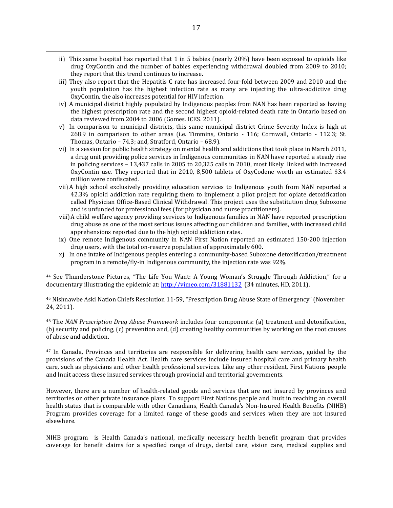- ii) This same hospital has reported that 1 in 5 babies (nearly 20%) have been exposed to opioids like drug OxyContin and the number of babies experiencing withdrawal doubled from 2009 to 2010; they report that this trend continues to increase.
- iii) They also report that the Hepatitis C rate has increased four-fold between 2009 and 2010 and the youth population has the highest infection rate as many are injecting the ultra-addictive drug OxyContin, the also increases potential for HIV infection.
- iv) A municipal district highly populated by Indigenous peoples from NAN has been reported as having the highest prescription rate and the second highest opioid-related death rate in Ontario based on data reviewed from 2004 to 2006 (Gomes. ICES. 2011).
- v) In comparison to municipal districts, this same municipal district Crime Severity Index is high at 268.9 in comparison to other areas (i.e. Timmins, Ontario - 116; Cornwall, Ontario - 112.3; St. Thomas, Ontario – 74.3; and, Stratford, Ontario – 68.9).
- vi) In a session for public health strategy on mental health and addictions that took place in March 2011, a drug unit providing police services in Indigenous communities in NAN have reported a steady rise in policing services – 13,437 calls in 2005 to 20,325 calls in 2010, most likely linked with increased OxyContin use. They reported that in 2010, 8,500 tablets of OxyCodene worth an estimated \$3.4 million were confiscated.
- vii)A high school exclusively providing education services to Indigenous youth from NAN reported a 42.3% opioid addiction rate requiring them to implement a pilot project for opiate detoxification called Physician Office-Based Clinical Withdrawal. This project uses the substitution drug Suboxone and is unfunded for professional fees (for physician and nurse practitioners).
- viii)A child welfare agency providing services to Indigenous families in NAN have reported prescription drug abuse as one of the most serious issues affecting our children and families, with increased child apprehensions reported due to the high opioid addiction rates.
- ix) One remote Indigenous community in NAN First Nation reported an estimated 150-200 injection drug users, with the total on-reserve population of approximately 600.
- x) In one intake of Indigenous peoples entering a community-based Suboxone detoxification/treatment program in a remote/fly-in Indigenous community, the injection rate was 92%.

<sup>44</sup> See Thunderstone Pictures, "The Life You Want: A Young Woman's Struggle Through Addiction," for a documentary illustrating the epidemic at:<http://vimeo.com/31881132> (34 minutes, HD, 2011).

<sup>45</sup> Nishnawbe Aski Nation Chiefs Resolution 11-59, "Prescription Drug Abuse State of Emergency" (November 24, 2011).

<sup>46</sup> The *NAN Prescription Drug Abuse Framework* includes four components: (a) treatment and detoxification, (b) security and policing, (c) prevention and, (d) creating healthy communities by working on the root causes of abuse and addiction.

<sup>47</sup> In Canada, Provinces and territories are responsible for delivering health care services, guided by the provisions of the Canada Health Act. Health care services include insured hospital care and primary health care, such as physicians and other health professional services. Like any other resident, First Nations people and Inuit access these insured services through provincial and territorial governments.

However, there are a number of health-related goods and services that are not insured by provinces and territories or other private insurance plans. To support First Nations people and Inuit in reaching an overall health status that is comparable with other Canadians, Health Canada's Non-Insured Health Benefits (NIHB) Program provides coverage for a limited range of these goods and services when they are not insured elsewhere.

NIHB program is Health Canada's national, medically necessary health benefit program that provides coverage for benefit claims for a specified range of drugs, dental care, vision care, medical supplies and

 $\overline{a}$